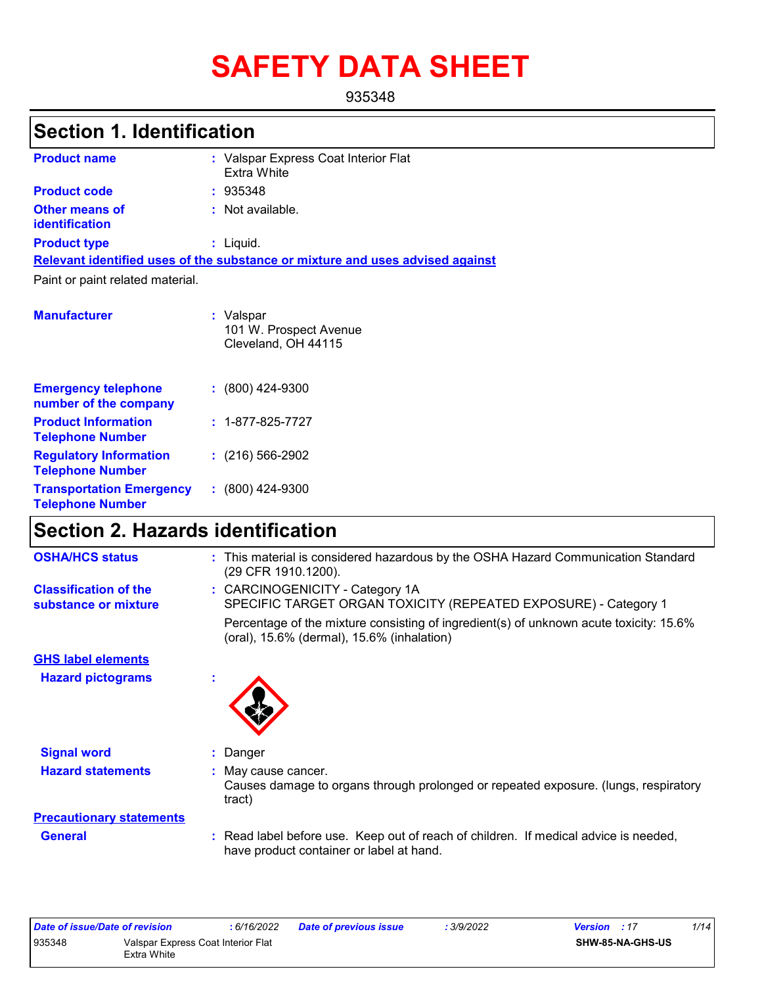# **SAFETY DATA SHEET**

935348

# **Section 1. Identification**

| <b>Product name</b>                     | : Valspar Express Coat Interior Flat<br>Extra White                           |
|-----------------------------------------|-------------------------------------------------------------------------------|
| <b>Product code</b>                     | : 935348                                                                      |
| <b>Other means of</b><br>identification | : Not available.                                                              |
| <b>Product type</b>                     | : Liquid.                                                                     |
|                                         | Relevant identified uses of the substance or mixture and uses advised against |
| Paint or paint related material.        |                                                                               |
| <b>Manufacturer</b>                     | : Valspar<br>101 W. Prospect Avenue<br>Cleveland, OH 44115                    |

| <b>Emergency telephone</b><br>number of the company        | $: (800)$ 424-9300       |
|------------------------------------------------------------|--------------------------|
| <b>Product Information</b><br><b>Telephone Number</b>      | $: 1 - 877 - 825 - 7727$ |
| <b>Regulatory Information</b><br><b>Telephone Number</b>   | $: (216) 566 - 2902$     |
| <b>Transportation Emergency</b><br><b>Telephone Number</b> | $: (800)$ 424-9300       |

# **Section 2. Hazards identification**

| <b>OSHA/HCS status</b>                               | : This material is considered hazardous by the OSHA Hazard Communication Standard<br>(29 CFR 1910.1200).                             |
|------------------------------------------------------|--------------------------------------------------------------------------------------------------------------------------------------|
| <b>Classification of the</b><br>substance or mixture | : CARCINOGENICITY - Category 1A<br>SPECIFIC TARGET ORGAN TOXICITY (REPEATED EXPOSURE) - Category 1                                   |
|                                                      | Percentage of the mixture consisting of ingredient(s) of unknown acute toxicity: 15.6%<br>(oral), 15.6% (dermal), 15.6% (inhalation) |
| <b>GHS label elements</b>                            |                                                                                                                                      |
| <b>Hazard pictograms</b>                             |                                                                                                                                      |
| <b>Signal word</b>                                   | : Danger                                                                                                                             |
| <b>Hazard statements</b>                             | : May cause cancer.<br>Causes damage to organs through prolonged or repeated exposure. (lungs, respiratory<br>tract)                 |
| <b>Precautionary statements</b>                      |                                                                                                                                      |
| <b>General</b>                                       | : Read label before use. Keep out of reach of children. If medical advice is needed,<br>have product container or label at hand.     |

| Date of issue/Date of revision |             | : 6/16/2022                        | Date of previous issue | : 3/9/2022 | <b>Version</b> : 17     | 1/14 |
|--------------------------------|-------------|------------------------------------|------------------------|------------|-------------------------|------|
| 935348                         |             | Valspar Express Coat Interior Flat |                        |            | <b>SHW-85-NA-GHS-US</b> |      |
|                                | Extra White |                                    |                        |            |                         |      |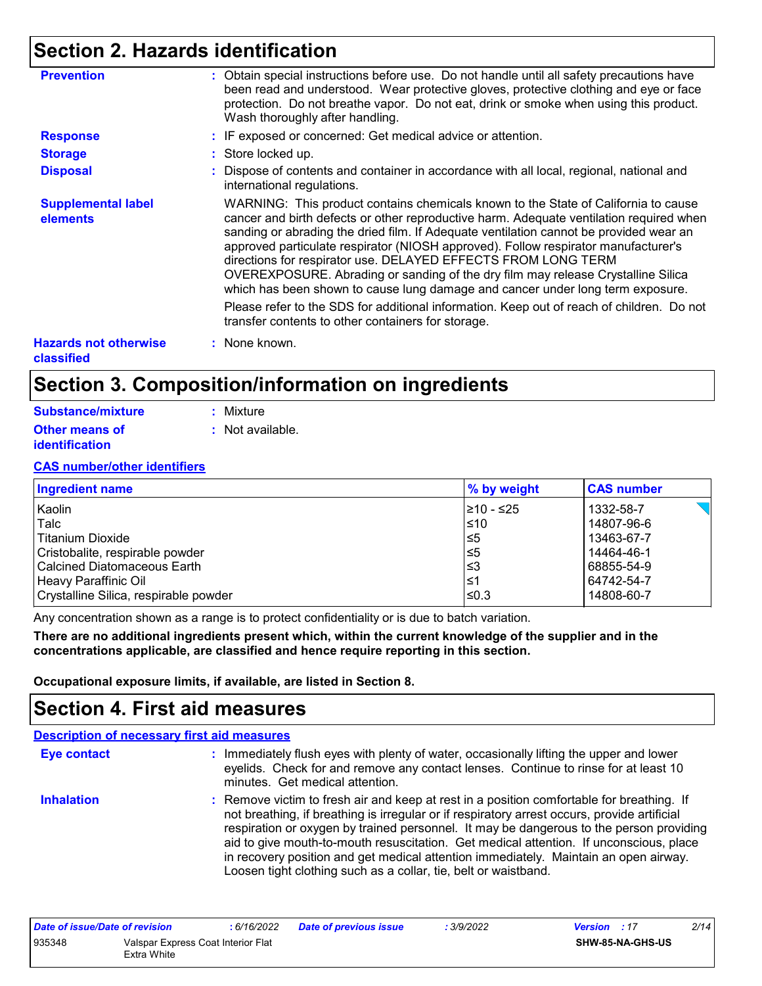# **Section 2. Hazards identification**

| <b>Prevention</b>                          | : Obtain special instructions before use. Do not handle until all safety precautions have<br>been read and understood. Wear protective gloves, protective clothing and eye or face<br>protection. Do not breathe vapor. Do not eat, drink or smoke when using this product.<br>Wash thoroughly after handling.                                                                                                                                                                                                                                                                                       |
|--------------------------------------------|------------------------------------------------------------------------------------------------------------------------------------------------------------------------------------------------------------------------------------------------------------------------------------------------------------------------------------------------------------------------------------------------------------------------------------------------------------------------------------------------------------------------------------------------------------------------------------------------------|
| <b>Response</b>                            | : IF exposed or concerned: Get medical advice or attention.                                                                                                                                                                                                                                                                                                                                                                                                                                                                                                                                          |
| <b>Storage</b>                             | : Store locked up.                                                                                                                                                                                                                                                                                                                                                                                                                                                                                                                                                                                   |
| <b>Disposal</b>                            | : Dispose of contents and container in accordance with all local, regional, national and<br>international regulations.                                                                                                                                                                                                                                                                                                                                                                                                                                                                               |
| <b>Supplemental label</b><br>elements      | WARNING: This product contains chemicals known to the State of California to cause<br>cancer and birth defects or other reproductive harm. Adequate ventilation required when<br>sanding or abrading the dried film. If Adequate ventilation cannot be provided wear an<br>approved particulate respirator (NIOSH approved). Follow respirator manufacturer's<br>directions for respirator use. DELAYED EFFECTS FROM LONG TERM<br>OVEREXPOSURE. Abrading or sanding of the dry film may release Crystalline Silica<br>which has been shown to cause lung damage and cancer under long term exposure. |
|                                            | Please refer to the SDS for additional information. Keep out of reach of children. Do not<br>transfer contents to other containers for storage.                                                                                                                                                                                                                                                                                                                                                                                                                                                      |
| <b>Hazards not otherwise</b><br>classified | : None known.                                                                                                                                                                                                                                                                                                                                                                                                                                                                                                                                                                                        |

# **Section 3. Composition/information on ingredients**

| <b>Substance/mixture</b> | : Mixture        |
|--------------------------|------------------|
| <b>Other means of</b>    | : Not available. |
| identification           |                  |

### **CAS number/other identifiers**

| <b>Ingredient name</b>                | % by weight | <b>CAS number</b> |
|---------------------------------------|-------------|-------------------|
| Kaolin                                | 210 - ≤25   | 1332-58-7         |
| Talc                                  | ≤10         | 14807-96-6        |
| Titanium Dioxide                      | ≤5          | 13463-67-7        |
| Cristobalite, respirable powder       | l≤5         | 14464-46-1        |
| <b>Calcined Diatomaceous Earth</b>    | l≤3         | 68855-54-9        |
| Heavy Paraffinic Oil                  | l≤1         | 64742-54-7        |
| Crystalline Silica, respirable powder | l≤0.3       | 14808-60-7        |

Any concentration shown as a range is to protect confidentiality or is due to batch variation.

**There are no additional ingredients present which, within the current knowledge of the supplier and in the concentrations applicable, are classified and hence require reporting in this section.**

**Occupational exposure limits, if available, are listed in Section 8.**

### **Section 4. First aid measures**

|                    | <b>Description of necessary first aid measures</b>                                                                                                                                                                                                                                                                                                                                                                                                                                                                                        |
|--------------------|-------------------------------------------------------------------------------------------------------------------------------------------------------------------------------------------------------------------------------------------------------------------------------------------------------------------------------------------------------------------------------------------------------------------------------------------------------------------------------------------------------------------------------------------|
| <b>Eye contact</b> | : Immediately flush eyes with plenty of water, occasionally lifting the upper and lower<br>eyelids. Check for and remove any contact lenses. Continue to rinse for at least 10<br>minutes. Get medical attention.                                                                                                                                                                                                                                                                                                                         |
| <b>Inhalation</b>  | : Remove victim to fresh air and keep at rest in a position comfortable for breathing. If<br>not breathing, if breathing is irregular or if respiratory arrest occurs, provide artificial<br>respiration or oxygen by trained personnel. It may be dangerous to the person providing<br>aid to give mouth-to-mouth resuscitation. Get medical attention. If unconscious, place<br>in recovery position and get medical attention immediately. Maintain an open airway.<br>Loosen tight clothing such as a collar, tie, belt or waistband. |

| Date of issue/Date of revision |                                    | : 6/16/2022 | <b>Date of previous issue</b> | 3/9/2022 | <b>Version</b> : 17     | 2/14 |
|--------------------------------|------------------------------------|-------------|-------------------------------|----------|-------------------------|------|
| 935348                         | Valspar Express Coat Interior Flat |             |                               |          | <b>SHW-85-NA-GHS-US</b> |      |
|                                | Extra White                        |             |                               |          |                         |      |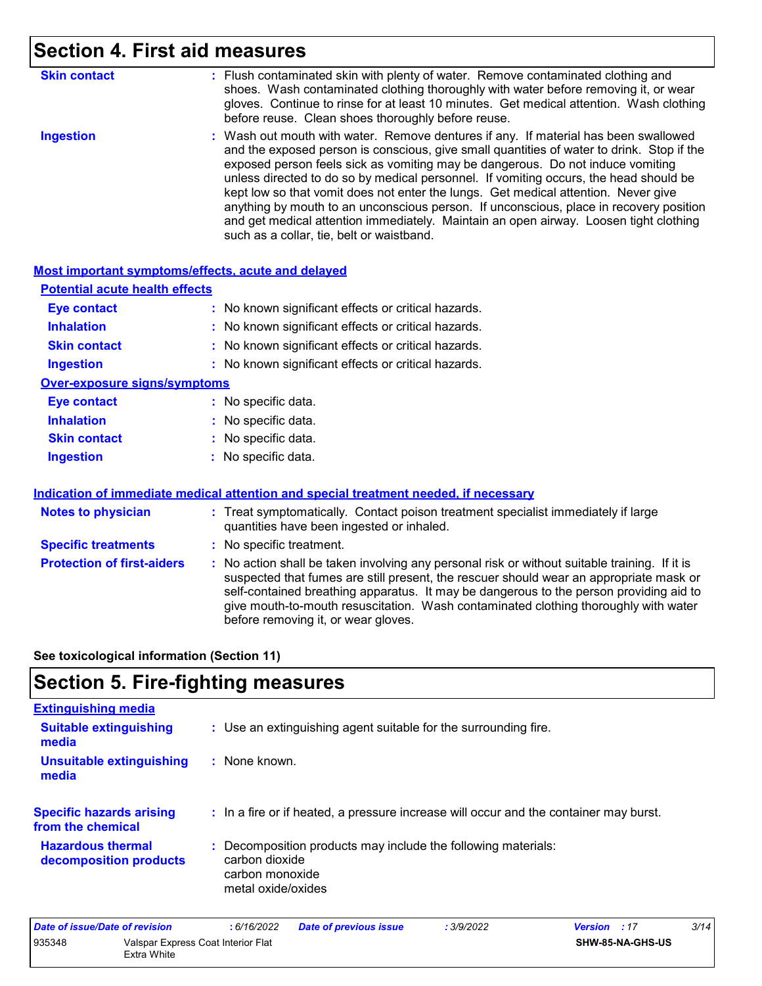# **Section 4. First aid measures**

| <b>Skin contact</b> | : Flush contaminated skin with plenty of water. Remove contaminated clothing and<br>shoes. Wash contaminated clothing thoroughly with water before removing it, or wear<br>gloves. Continue to rinse for at least 10 minutes. Get medical attention. Wash clothing<br>before reuse. Clean shoes thoroughly before reuse.                                                                                                                                                                                                                                                                                                                                                          |
|---------------------|-----------------------------------------------------------------------------------------------------------------------------------------------------------------------------------------------------------------------------------------------------------------------------------------------------------------------------------------------------------------------------------------------------------------------------------------------------------------------------------------------------------------------------------------------------------------------------------------------------------------------------------------------------------------------------------|
| <b>Ingestion</b>    | : Wash out mouth with water. Remove dentures if any. If material has been swallowed<br>and the exposed person is conscious, give small quantities of water to drink. Stop if the<br>exposed person feels sick as vomiting may be dangerous. Do not induce vomiting<br>unless directed to do so by medical personnel. If vomiting occurs, the head should be<br>kept low so that vomit does not enter the lungs. Get medical attention. Never give<br>anything by mouth to an unconscious person. If unconscious, place in recovery position<br>and get medical attention immediately. Maintain an open airway. Loosen tight clothing<br>such as a collar, tie, belt or waistband. |

### **Most important symptoms/effects, acute and delayed**

| <b>Eye contact</b>                  | : No known significant effects or critical hazards. |
|-------------------------------------|-----------------------------------------------------|
| <b>Inhalation</b>                   | : No known significant effects or critical hazards. |
| <b>Skin contact</b>                 | : No known significant effects or critical hazards. |
| <b>Ingestion</b>                    | : No known significant effects or critical hazards. |
| <b>Over-exposure signs/symptoms</b> |                                                     |
| <b>Eye contact</b>                  | : No specific data.                                 |
| <b>Inhalation</b>                   | : No specific data.                                 |
| <b>Skin contact</b>                 | : No specific data.                                 |
| <b>Ingestion</b>                    | : No specific data.                                 |

### **Indication of immediate medical attention and special treatment needed, if necessary**

| <b>Notes to physician</b>         | : Treat symptomatically. Contact poison treatment specialist immediately if large<br>quantities have been ingested or inhaled.                                                                                                                                                                                                                                                                                  |
|-----------------------------------|-----------------------------------------------------------------------------------------------------------------------------------------------------------------------------------------------------------------------------------------------------------------------------------------------------------------------------------------------------------------------------------------------------------------|
| <b>Specific treatments</b>        | : No specific treatment.                                                                                                                                                                                                                                                                                                                                                                                        |
| <b>Protection of first-aiders</b> | : No action shall be taken involving any personal risk or without suitable training. If it is<br>suspected that fumes are still present, the rescuer should wear an appropriate mask or<br>self-contained breathing apparatus. It may be dangerous to the person providing aid to<br>give mouth-to-mouth resuscitation. Wash contaminated clothing thoroughly with water<br>before removing it, or wear gloves. |

**See toxicological information (Section 11)**

# **Section 5. Fire-fighting measures**

| <b>Extinguishing media</b>                           |                                                                                                                          |
|------------------------------------------------------|--------------------------------------------------------------------------------------------------------------------------|
| <b>Suitable extinguishing</b><br>media               | : Use an extinguishing agent suitable for the surrounding fire.                                                          |
| <b>Unsuitable extinguishing</b><br>media             | : None known.                                                                                                            |
| <b>Specific hazards arising</b><br>from the chemical | : In a fire or if heated, a pressure increase will occur and the container may burst.                                    |
| <b>Hazardous thermal</b><br>decomposition products   | : Decomposition products may include the following materials:<br>carbon dioxide<br>carbon monoxide<br>metal oxide/oxides |

| Date of issue/Date of revision |                                                   | : 6/16/2022 | <b>Date of previous issue</b> | 3/9/2022 | <b>Version</b> : 17     | 3/14 |
|--------------------------------|---------------------------------------------------|-------------|-------------------------------|----------|-------------------------|------|
| 935348                         | Valspar Express Coat Interior Flat<br>Extra White |             |                               |          | <b>SHW-85-NA-GHS-US</b> |      |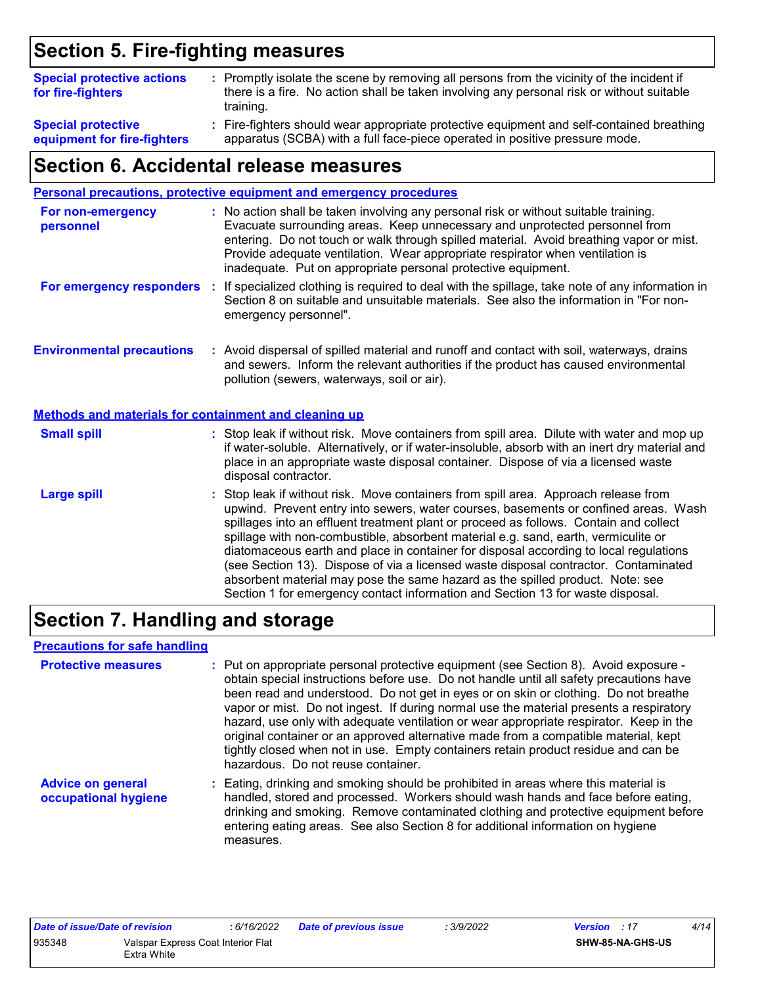# **Section 5. Fire-fighting measures**

| <b>Special protective actions</b><br>for fire-fighters   | : Promptly isolate the scene by removing all persons from the vicinity of the incident if<br>there is a fire. No action shall be taken involving any personal risk or without suitable<br>training. |
|----------------------------------------------------------|-----------------------------------------------------------------------------------------------------------------------------------------------------------------------------------------------------|
| <b>Special protective</b><br>equipment for fire-fighters | : Fire-fighters should wear appropriate protective equipment and self-contained breathing<br>apparatus (SCBA) with a full face-piece operated in positive pressure mode.                            |

### **Section 6. Accidental release measures**

|                                                              | <b>Personal precautions, protective equipment and emergency procedures</b>                                                                                                                                                                                                                                                                                                                                                                                                                                                                                                                                                                                                                                   |
|--------------------------------------------------------------|--------------------------------------------------------------------------------------------------------------------------------------------------------------------------------------------------------------------------------------------------------------------------------------------------------------------------------------------------------------------------------------------------------------------------------------------------------------------------------------------------------------------------------------------------------------------------------------------------------------------------------------------------------------------------------------------------------------|
| For non-emergency<br>personnel                               | : No action shall be taken involving any personal risk or without suitable training.<br>Evacuate surrounding areas. Keep unnecessary and unprotected personnel from<br>entering. Do not touch or walk through spilled material. Avoid breathing vapor or mist.<br>Provide adequate ventilation. Wear appropriate respirator when ventilation is<br>inadequate. Put on appropriate personal protective equipment.                                                                                                                                                                                                                                                                                             |
| For emergency responders :                                   | If specialized clothing is required to deal with the spillage, take note of any information in<br>Section 8 on suitable and unsuitable materials. See also the information in "For non-<br>emergency personnel".                                                                                                                                                                                                                                                                                                                                                                                                                                                                                             |
| <b>Environmental precautions</b>                             | : Avoid dispersal of spilled material and runoff and contact with soil, waterways, drains<br>and sewers. Inform the relevant authorities if the product has caused environmental<br>pollution (sewers, waterways, soil or air).                                                                                                                                                                                                                                                                                                                                                                                                                                                                              |
| <b>Methods and materials for containment and cleaning up</b> |                                                                                                                                                                                                                                                                                                                                                                                                                                                                                                                                                                                                                                                                                                              |
| <b>Small spill</b>                                           | : Stop leak if without risk. Move containers from spill area. Dilute with water and mop up<br>if water-soluble. Alternatively, or if water-insoluble, absorb with an inert dry material and<br>place in an appropriate waste disposal container. Dispose of via a licensed waste<br>disposal contractor.                                                                                                                                                                                                                                                                                                                                                                                                     |
| <b>Large spill</b>                                           | : Stop leak if without risk. Move containers from spill area. Approach release from<br>upwind. Prevent entry into sewers, water courses, basements or confined areas. Wash<br>spillages into an effluent treatment plant or proceed as follows. Contain and collect<br>spillage with non-combustible, absorbent material e.g. sand, earth, vermiculite or<br>diatomaceous earth and place in container for disposal according to local regulations<br>(see Section 13). Dispose of via a licensed waste disposal contractor. Contaminated<br>absorbent material may pose the same hazard as the spilled product. Note: see<br>Section 1 for emergency contact information and Section 13 for waste disposal. |

# **Section 7. Handling and storage**

### **Precautions for safe handling**

| <b>Protective measures</b>                       | : Put on appropriate personal protective equipment (see Section 8). Avoid exposure -<br>obtain special instructions before use. Do not handle until all safety precautions have<br>been read and understood. Do not get in eyes or on skin or clothing. Do not breathe<br>vapor or mist. Do not ingest. If during normal use the material presents a respiratory<br>hazard, use only with adequate ventilation or wear appropriate respirator. Keep in the<br>original container or an approved alternative made from a compatible material, kept<br>tightly closed when not in use. Empty containers retain product residue and can be<br>hazardous. Do not reuse container. |
|--------------------------------------------------|-------------------------------------------------------------------------------------------------------------------------------------------------------------------------------------------------------------------------------------------------------------------------------------------------------------------------------------------------------------------------------------------------------------------------------------------------------------------------------------------------------------------------------------------------------------------------------------------------------------------------------------------------------------------------------|
| <b>Advice on general</b><br>occupational hygiene | : Eating, drinking and smoking should be prohibited in areas where this material is<br>handled, stored and processed. Workers should wash hands and face before eating,<br>drinking and smoking. Remove contaminated clothing and protective equipment before<br>entering eating areas. See also Section 8 for additional information on hygiene<br>measures.                                                                                                                                                                                                                                                                                                                 |

| Date of issue/Date of revision |                                    | : 6/16/2022 | <b>Date of previous issue</b> | : 3/9/2022 | <b>Version</b> : 17 |                         | 4/14 |
|--------------------------------|------------------------------------|-------------|-------------------------------|------------|---------------------|-------------------------|------|
| 935348                         | Valspar Express Coat Interior Flat |             |                               |            |                     | <b>SHW-85-NA-GHS-US</b> |      |
|                                | Extra White                        |             |                               |            |                     |                         |      |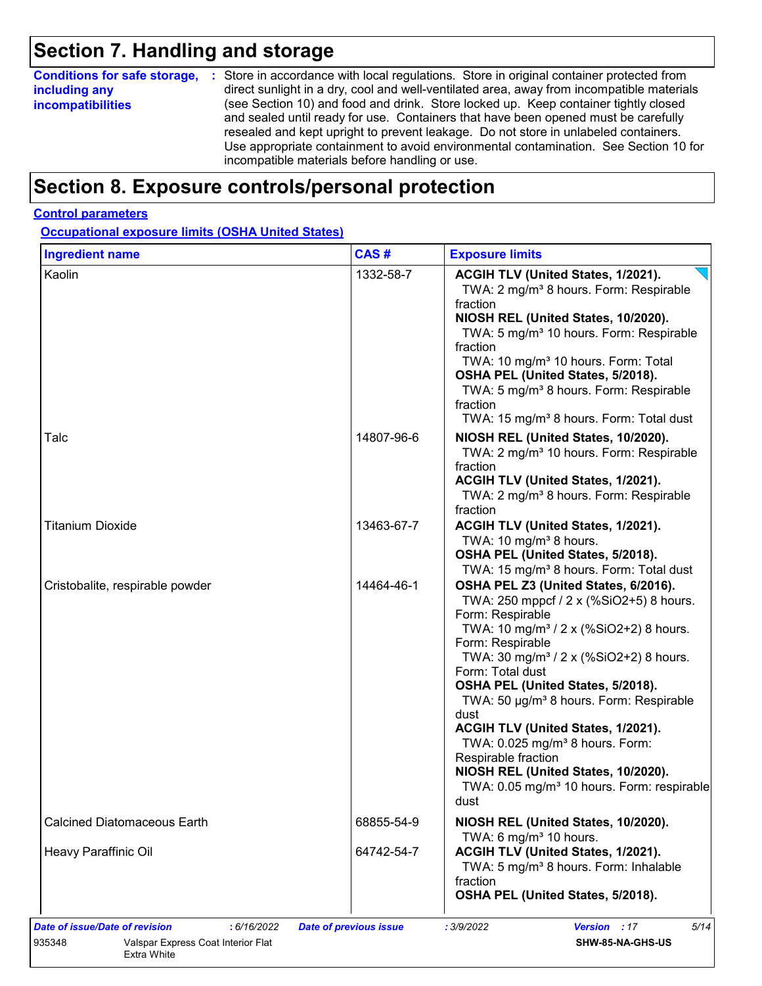# **Section 7. Handling and storage**

| <b>Conditions for safe storage,</b> | : Store in accordance with local regulations. Store in original container protected from  |
|-------------------------------------|-------------------------------------------------------------------------------------------|
| including any                       | direct sunlight in a dry, cool and well-ventilated area, away from incompatible materials |
| <b>incompatibilities</b>            | (see Section 10) and food and drink. Store locked up. Keep container tightly closed       |
|                                     | and sealed until ready for use. Containers that have been opened must be carefully        |
|                                     | resealed and kept upright to prevent leakage. Do not store in unlabeled containers.       |
|                                     | Use appropriate containment to avoid environmental contamination. See Section 10 for      |
|                                     | incompatible materials before handling or use.                                            |

# **Section 8. Exposure controls/personal protection**

### **Control parameters**

**Occupational exposure limits (OSHA United States)**

| <b>Ingredient name</b>                                     | CAS#                     | <b>Exposure limits</b>                                                                                                                                                                                                                                                                                                                                                                                                                                                                                                                                                           |
|------------------------------------------------------------|--------------------------|----------------------------------------------------------------------------------------------------------------------------------------------------------------------------------------------------------------------------------------------------------------------------------------------------------------------------------------------------------------------------------------------------------------------------------------------------------------------------------------------------------------------------------------------------------------------------------|
| Kaolin                                                     | 1332-58-7                | ACGIH TLV (United States, 1/2021).<br>TWA: 2 mg/m <sup>3</sup> 8 hours. Form: Respirable<br>fraction<br>NIOSH REL (United States, 10/2020).<br>TWA: 5 mg/m <sup>3</sup> 10 hours. Form: Respirable<br>fraction<br>TWA: 10 mg/m <sup>3</sup> 10 hours. Form: Total<br>OSHA PEL (United States, 5/2018).<br>TWA: 5 mg/m <sup>3</sup> 8 hours. Form: Respirable<br>fraction<br>TWA: 15 mg/m <sup>3</sup> 8 hours. Form: Total dust                                                                                                                                                  |
| Talc                                                       | 14807-96-6               | NIOSH REL (United States, 10/2020).<br>TWA: 2 mg/m <sup>3</sup> 10 hours. Form: Respirable<br>fraction<br>ACGIH TLV (United States, 1/2021).<br>TWA: 2 mg/m <sup>3</sup> 8 hours. Form: Respirable<br>fraction                                                                                                                                                                                                                                                                                                                                                                   |
| <b>Titanium Dioxide</b>                                    | 13463-67-7               | ACGIH TLV (United States, 1/2021).<br>TWA: 10 mg/m <sup>3</sup> 8 hours.<br>OSHA PEL (United States, 5/2018).<br>TWA: 15 mg/m <sup>3</sup> 8 hours. Form: Total dust                                                                                                                                                                                                                                                                                                                                                                                                             |
| Cristobalite, respirable powder                            | 14464-46-1               | OSHA PEL Z3 (United States, 6/2016).<br>TWA: 250 mppcf / 2 x (%SiO2+5) 8 hours.<br>Form: Respirable<br>TWA: 10 mg/m <sup>3</sup> / 2 x (%SiO2+2) 8 hours.<br>Form: Respirable<br>TWA: 30 mg/m <sup>3</sup> / 2 x (%SiO2+2) 8 hours.<br>Form: Total dust<br>OSHA PEL (United States, 5/2018).<br>TWA: 50 µg/m <sup>3</sup> 8 hours. Form: Respirable<br>dust<br>ACGIH TLV (United States, 1/2021).<br>TWA: 0.025 mg/m <sup>3</sup> 8 hours. Form:<br>Respirable fraction<br>NIOSH REL (United States, 10/2020).<br>TWA: 0.05 mg/m <sup>3</sup> 10 hours. Form: respirable<br>dust |
| <b>Calcined Diatomaceous Earth</b><br>Heavy Paraffinic Oil | 68855-54-9<br>64742-54-7 | NIOSH REL (United States, 10/2020).<br>TWA: 6 mg/m <sup>3</sup> 10 hours.<br>ACGIH TLV (United States, 1/2021).<br>TWA: 5 mg/m <sup>3</sup> 8 hours. Form: Inhalable<br>fraction<br>OSHA PEL (United States, 5/2018).                                                                                                                                                                                                                                                                                                                                                            |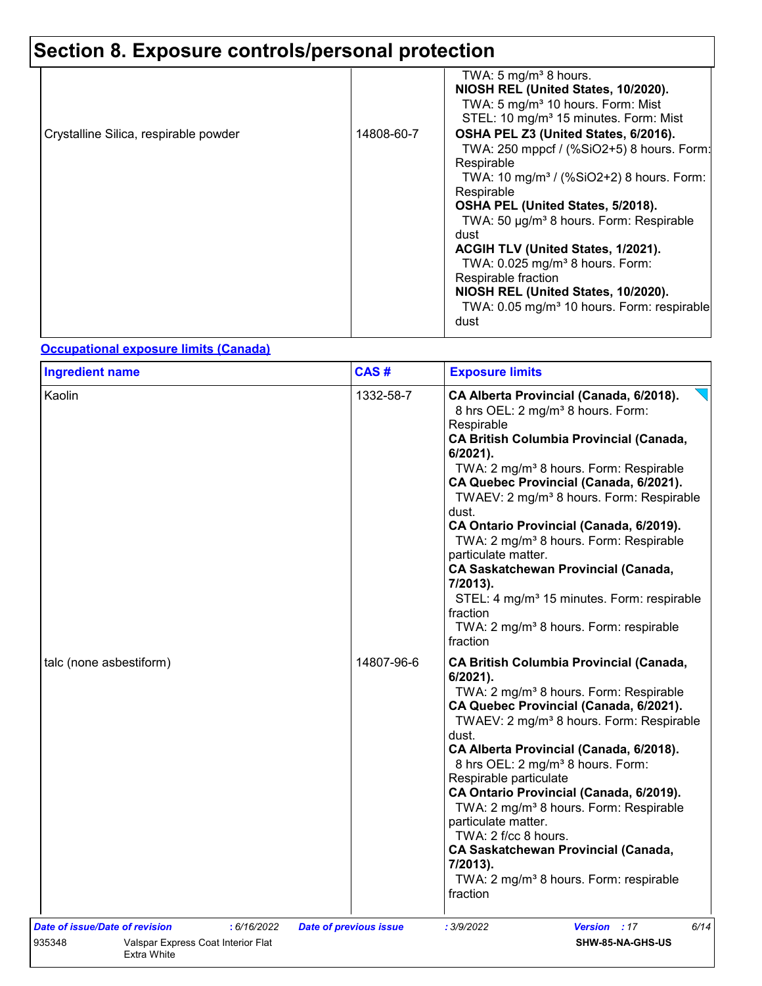# **Section 8. Exposure controls/personal protection**

| Crystalline Silica, respirable powder |
|---------------------------------------|
|---------------------------------------|

### **Occupational exposure limits (Canada)**

| <b>Ingredient name</b>                                      |             | CAS#                          | <b>Exposure limits</b>                                                                                                                                                                                                                                                                                                                                                                                                                                                                                                                                                                                                                                             |
|-------------------------------------------------------------|-------------|-------------------------------|--------------------------------------------------------------------------------------------------------------------------------------------------------------------------------------------------------------------------------------------------------------------------------------------------------------------------------------------------------------------------------------------------------------------------------------------------------------------------------------------------------------------------------------------------------------------------------------------------------------------------------------------------------------------|
| Kaolin                                                      |             | 1332-58-7                     | CA Alberta Provincial (Canada, 6/2018).<br>8 hrs OEL: 2 mg/m <sup>3</sup> 8 hours. Form:<br>Respirable<br><b>CA British Columbia Provincial (Canada,</b><br>$6/2021$ ).<br>TWA: 2 mg/m <sup>3</sup> 8 hours. Form: Respirable<br>CA Quebec Provincial (Canada, 6/2021).<br>TWAEV: 2 mg/m <sup>3</sup> 8 hours. Form: Respirable<br>dust.<br>CA Ontario Provincial (Canada, 6/2019).<br>TWA: 2 mg/m <sup>3</sup> 8 hours. Form: Respirable<br>particulate matter.<br><b>CA Saskatchewan Provincial (Canada,</b><br>7/2013).<br>STEL: 4 mg/m <sup>3</sup> 15 minutes. Form: respirable<br>fraction<br>TWA: 2 mg/m <sup>3</sup> 8 hours. Form: respirable<br>fraction |
| talc (none asbestiform)                                     |             | 14807-96-6                    | <b>CA British Columbia Provincial (Canada,</b><br>$6/2021$ ).<br>TWA: 2 mg/m <sup>3</sup> 8 hours. Form: Respirable<br>CA Quebec Provincial (Canada, 6/2021).<br>TWAEV: 2 mg/m <sup>3</sup> 8 hours. Form: Respirable<br>dust.<br>CA Alberta Provincial (Canada, 6/2018).<br>8 hrs OEL: 2 mg/m <sup>3</sup> 8 hours. Form:<br>Respirable particulate<br>CA Ontario Provincial (Canada, 6/2019).<br>TWA: 2 mg/m <sup>3</sup> 8 hours. Form: Respirable<br>particulate matter.<br>TWA: 2 f/cc 8 hours.<br><b>CA Saskatchewan Provincial (Canada,</b><br>7/2013).<br>TWA: 2 mg/m <sup>3</sup> 8 hours. Form: respirable<br>fraction                                   |
| <b>Date of issue/Date of revision</b>                       | : 6/16/2022 | <b>Date of previous issue</b> | Version : 17<br>6/14<br>: 3/9/2022                                                                                                                                                                                                                                                                                                                                                                                                                                                                                                                                                                                                                                 |
| 935348<br>Valspar Express Coat Interior Flat<br>Extra White |             |                               | SHW-85-NA-GHS-US                                                                                                                                                                                                                                                                                                                                                                                                                                                                                                                                                                                                                                                   |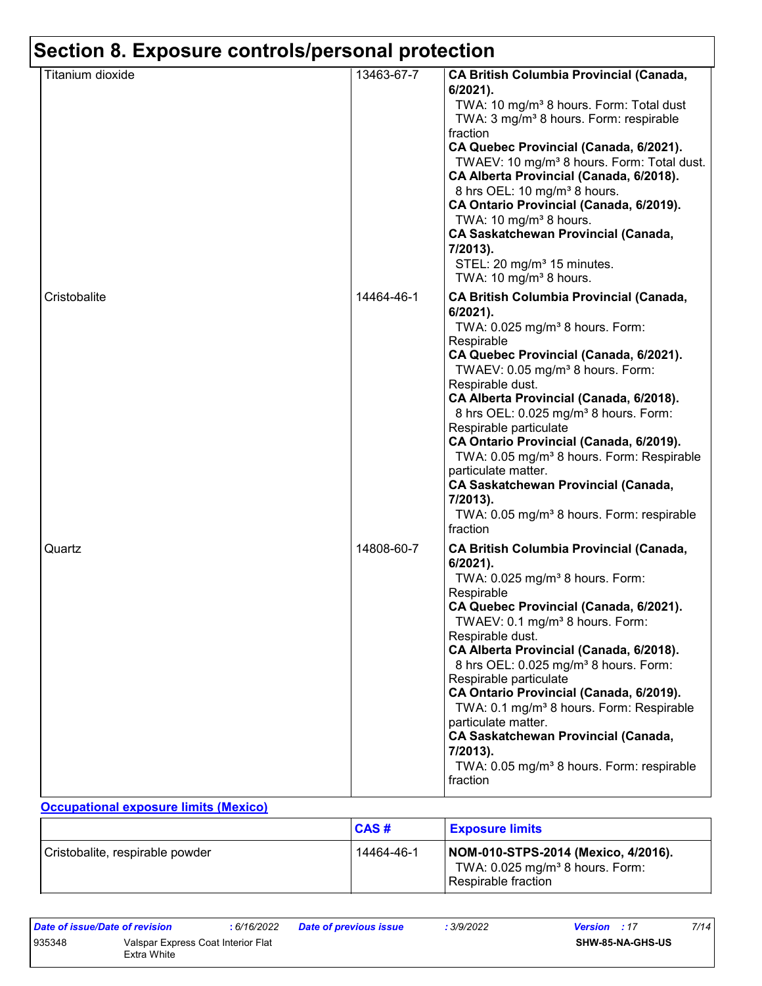| Titanium dioxide | 13463-67-7 | CA British Columbia Provincial (Canada,<br>$6/2021$ ).<br>TWA: 10 mg/m <sup>3</sup> 8 hours. Form: Total dust<br>TWA: 3 mg/m <sup>3</sup> 8 hours. Form: respirable<br>fraction<br>CA Quebec Provincial (Canada, 6/2021).<br>TWAEV: 10 mg/m <sup>3</sup> 8 hours. Form: Total dust.<br>CA Alberta Provincial (Canada, 6/2018).<br>8 hrs OEL: 10 mg/m <sup>3</sup> 8 hours.<br>CA Ontario Provincial (Canada, 6/2019).<br>TWA: 10 mg/m <sup>3</sup> 8 hours.<br><b>CA Saskatchewan Provincial (Canada,</b><br>7/2013).<br>STEL: 20 mg/m <sup>3</sup> 15 minutes.<br>TWA: 10 mg/m <sup>3</sup> 8 hours.                     |
|------------------|------------|---------------------------------------------------------------------------------------------------------------------------------------------------------------------------------------------------------------------------------------------------------------------------------------------------------------------------------------------------------------------------------------------------------------------------------------------------------------------------------------------------------------------------------------------------------------------------------------------------------------------------|
| Cristobalite     | 14464-46-1 | <b>CA British Columbia Provincial (Canada,</b><br>6/2021).<br>TWA: 0.025 mg/m <sup>3</sup> 8 hours. Form:<br>Respirable<br>CA Quebec Provincial (Canada, 6/2021).<br>TWAEV: 0.05 mg/m <sup>3</sup> 8 hours. Form:<br>Respirable dust.<br>CA Alberta Provincial (Canada, 6/2018).<br>8 hrs OEL: 0.025 mg/m <sup>3</sup> 8 hours. Form:<br>Respirable particulate<br>CA Ontario Provincial (Canada, 6/2019).<br>TWA: 0.05 mg/m <sup>3</sup> 8 hours. Form: Respirable<br>particulate matter.<br><b>CA Saskatchewan Provincial (Canada,</b><br>7/2013).<br>TWA: 0.05 mg/m <sup>3</sup> 8 hours. Form: respirable<br>fraction |
| Quartz           | 14808-60-7 | <b>CA British Columbia Provincial (Canada,</b><br>6/2021).<br>TWA: 0.025 mg/m <sup>3</sup> 8 hours. Form:<br>Respirable<br>CA Quebec Provincial (Canada, 6/2021).<br>TWAEV: 0.1 mg/m <sup>3</sup> 8 hours. Form:<br>Respirable dust.<br>CA Alberta Provincial (Canada, 6/2018).<br>8 hrs OEL: 0.025 mg/m <sup>3</sup> 8 hours. Form:<br>Respirable particulate<br>CA Ontario Provincial (Canada, 6/2019).<br>TWA: 0.1 mg/m <sup>3</sup> 8 hours. Form: Respirable<br>particulate matter.<br><b>CA Saskatchewan Provincial (Canada,</b><br>7/2013).<br>TWA: 0.05 mg/m <sup>3</sup> 8 hours. Form: respirable<br>fraction   |

### **Occupational exposure limits (Mexico)**

|                                 | CAS#       | <b>Exposure limits</b>                                                                                      |
|---------------------------------|------------|-------------------------------------------------------------------------------------------------------------|
| Cristobalite, respirable powder | 14464-46-1 | NOM-010-STPS-2014 (Mexico, 4/2016).<br>TWA: $0.025$ mg/m <sup>3</sup> 8 hours. Form:<br>Respirable fraction |

| Date of issue/Date of revision |                                                   | : 6/16/2022 | <b>Date of previous issue</b> | : 3/9/2022 | <b>Version</b> : 17 |                         | 7/14 |
|--------------------------------|---------------------------------------------------|-------------|-------------------------------|------------|---------------------|-------------------------|------|
| 935348                         | Valspar Express Coat Interior Flat<br>Extra White |             |                               |            |                     | <b>SHW-85-NA-GHS-US</b> |      |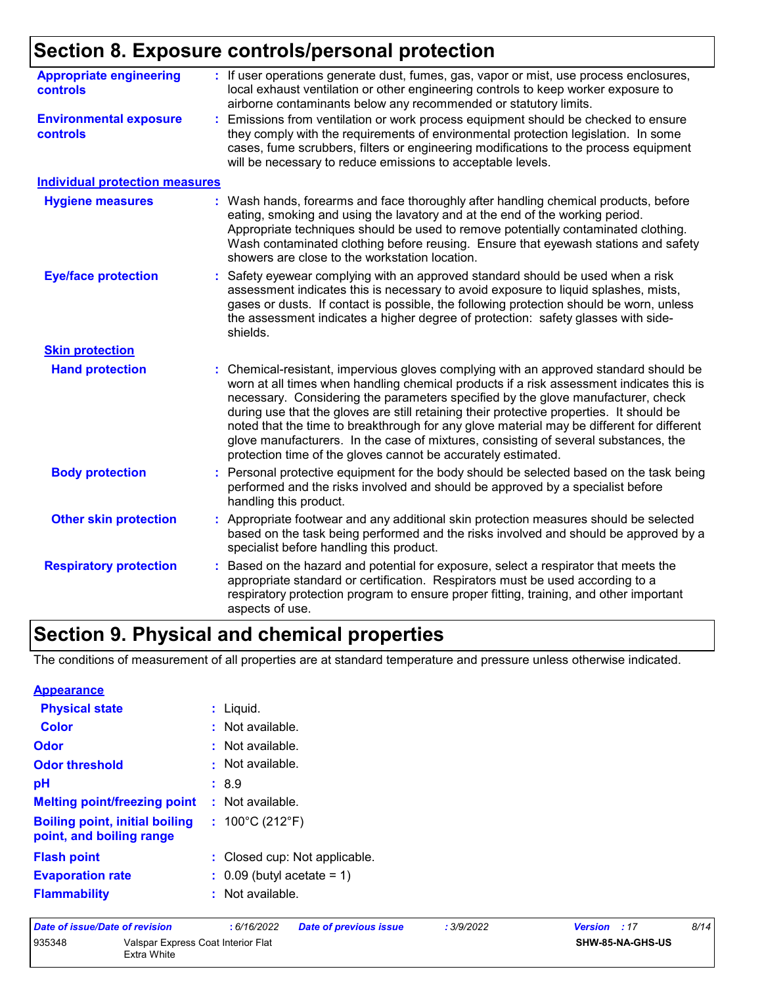# **Section 8. Exposure controls/personal protection**

| <b>Appropriate engineering</b><br><b>controls</b> | : If user operations generate dust, fumes, gas, vapor or mist, use process enclosures,<br>local exhaust ventilation or other engineering controls to keep worker exposure to<br>airborne contaminants below any recommended or statutory limits.                                                                                                                                                                                                                                                                                                                                                                     |
|---------------------------------------------------|----------------------------------------------------------------------------------------------------------------------------------------------------------------------------------------------------------------------------------------------------------------------------------------------------------------------------------------------------------------------------------------------------------------------------------------------------------------------------------------------------------------------------------------------------------------------------------------------------------------------|
| <b>Environmental exposure</b><br><b>controls</b>  | Emissions from ventilation or work process equipment should be checked to ensure<br>they comply with the requirements of environmental protection legislation. In some<br>cases, fume scrubbers, filters or engineering modifications to the process equipment<br>will be necessary to reduce emissions to acceptable levels.                                                                                                                                                                                                                                                                                        |
| <b>Individual protection measures</b>             |                                                                                                                                                                                                                                                                                                                                                                                                                                                                                                                                                                                                                      |
| <b>Hygiene measures</b>                           | Wash hands, forearms and face thoroughly after handling chemical products, before<br>eating, smoking and using the lavatory and at the end of the working period.<br>Appropriate techniques should be used to remove potentially contaminated clothing.<br>Wash contaminated clothing before reusing. Ensure that eyewash stations and safety<br>showers are close to the workstation location.                                                                                                                                                                                                                      |
| <b>Eye/face protection</b>                        | Safety eyewear complying with an approved standard should be used when a risk<br>assessment indicates this is necessary to avoid exposure to liquid splashes, mists,<br>gases or dusts. If contact is possible, the following protection should be worn, unless<br>the assessment indicates a higher degree of protection: safety glasses with side-<br>shields.                                                                                                                                                                                                                                                     |
| <b>Skin protection</b>                            |                                                                                                                                                                                                                                                                                                                                                                                                                                                                                                                                                                                                                      |
| <b>Hand protection</b>                            | Chemical-resistant, impervious gloves complying with an approved standard should be<br>worn at all times when handling chemical products if a risk assessment indicates this is<br>necessary. Considering the parameters specified by the glove manufacturer, check<br>during use that the gloves are still retaining their protective properties. It should be<br>noted that the time to breakthrough for any glove material may be different for different<br>glove manufacturers. In the case of mixtures, consisting of several substances, the<br>protection time of the gloves cannot be accurately estimated. |
| <b>Body protection</b>                            | Personal protective equipment for the body should be selected based on the task being<br>÷.<br>performed and the risks involved and should be approved by a specialist before<br>handling this product.                                                                                                                                                                                                                                                                                                                                                                                                              |
| <b>Other skin protection</b>                      | Appropriate footwear and any additional skin protection measures should be selected<br>based on the task being performed and the risks involved and should be approved by a<br>specialist before handling this product.                                                                                                                                                                                                                                                                                                                                                                                              |
| <b>Respiratory protection</b>                     | Based on the hazard and potential for exposure, select a respirator that meets the<br>appropriate standard or certification. Respirators must be used according to a<br>respiratory protection program to ensure proper fitting, training, and other important<br>aspects of use.                                                                                                                                                                                                                                                                                                                                    |

# **Section 9. Physical and chemical properties**

The conditions of measurement of all properties are at standard temperature and pressure unless otherwise indicated.

| <b>Appearance</b>                                                 |                                       |
|-------------------------------------------------------------------|---------------------------------------|
| <b>Physical state</b>                                             | $:$ Liquid.                           |
| Color                                                             | $:$ Not available.                    |
| Odor                                                              | : Not available.                      |
| <b>Odor threshold</b>                                             | ≞ Not available.                      |
| рH                                                                | :8.9                                  |
| <b>Melting point/freezing point</b>                               | $:$ Not available.                    |
| <b>Boiling point, initial boiling</b><br>point, and boiling range | : $100^{\circ}$ C (212 $^{\circ}$ F)  |
| <b>Flash point</b>                                                | : Closed cup: Not applicable.         |
| <b>Evaporation rate</b>                                           | $\therefore$ 0.09 (butyl acetate = 1) |
| <b>Flammability</b>                                               | $:$ Not available.                    |

| Date of issue/Date of revision |                                                   | : 6/16/2022 | <b>Date of previous issue</b> | : 3/9/2022 | <b>Version</b> : 17     | 8/14 |
|--------------------------------|---------------------------------------------------|-------------|-------------------------------|------------|-------------------------|------|
| 935348                         | Valspar Express Coat Interior Flat<br>Extra White |             |                               |            | <b>SHW-85-NA-GHS-US</b> |      |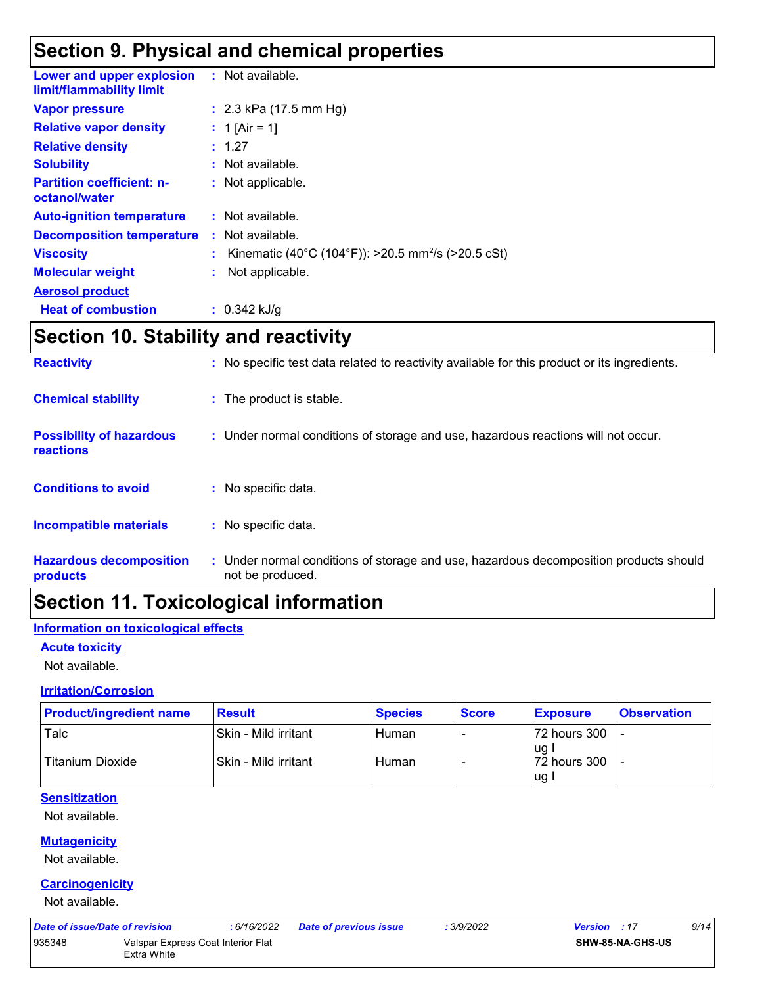# **Section 9. Physical and chemical properties**

| <b>Lower and upper explosion : Not available.</b><br>limit/flammability limit |                                                                |
|-------------------------------------------------------------------------------|----------------------------------------------------------------|
| <b>Vapor pressure</b>                                                         | : $2.3$ kPa (17.5 mm Hg)                                       |
| <b>Relative vapor density</b>                                                 | : 1 [Air = 1]                                                  |
| <b>Relative density</b>                                                       | : 1.27                                                         |
| <b>Solubility</b>                                                             | : Not available.                                               |
| <b>Partition coefficient: n-</b><br>octanol/water                             | : Not applicable.                                              |
| <b>Auto-ignition temperature</b>                                              | $:$ Not available.                                             |
| <b>Decomposition temperature</b>                                              | $:$ Not available.                                             |
| <b>Viscosity</b>                                                              | Kinematic (40°C (104°F)): >20.5 mm <sup>2</sup> /s (>20.5 cSt) |
| <b>Molecular weight</b>                                                       | Not applicable.                                                |
| <b>Aerosol product</b>                                                        |                                                                |
| <b>Heat of combustion</b>                                                     | $: 0.342$ kJ/g                                                 |

# **Section 10. Stability and reactivity**

| <b>Reactivity</b>                                   | : No specific test data related to reactivity available for this product or its ingredients.              |
|-----------------------------------------------------|-----------------------------------------------------------------------------------------------------------|
| <b>Chemical stability</b>                           | : The product is stable.                                                                                  |
| <b>Possibility of hazardous</b><br><b>reactions</b> | : Under normal conditions of storage and use, hazardous reactions will not occur.                         |
| <b>Conditions to avoid</b>                          | : No specific data.                                                                                       |
| Incompatible materials                              | : No specific data.                                                                                       |
| <b>Hazardous decomposition</b><br>products          | : Under normal conditions of storage and use, hazardous decomposition products should<br>not be produced. |

# **Section 11. Toxicological information**

### **Information on toxicological effects**

### **Acute toxicity**

Not available.

### **Irritation/Corrosion**

| <b>Product/ingredient name</b> | <b>Result</b>        | <b>Species</b> | <b>Score</b> | <b>Exposure</b>                 | <b>Observation</b> |
|--------------------------------|----------------------|----------------|--------------|---------------------------------|--------------------|
| Talc                           | Skin - Mild irritant | Human          |              | 72 hours 300                    |                    |
| <b>Titanium Dioxide</b>        | Skin - Mild irritant | Human          |              | l ug<br>l 72 hours 300<br>lug l |                    |

### **Sensitization**

Not available.

### **Mutagenicity**

Not available.

### **Carcinogenicity**

Not available.

|   | ate of issue/Date of revision |                            |  |  |
|---|-------------------------------|----------------------------|--|--|
| . |                               | $\cdots$ $\cdots$ $\alpha$ |  |  |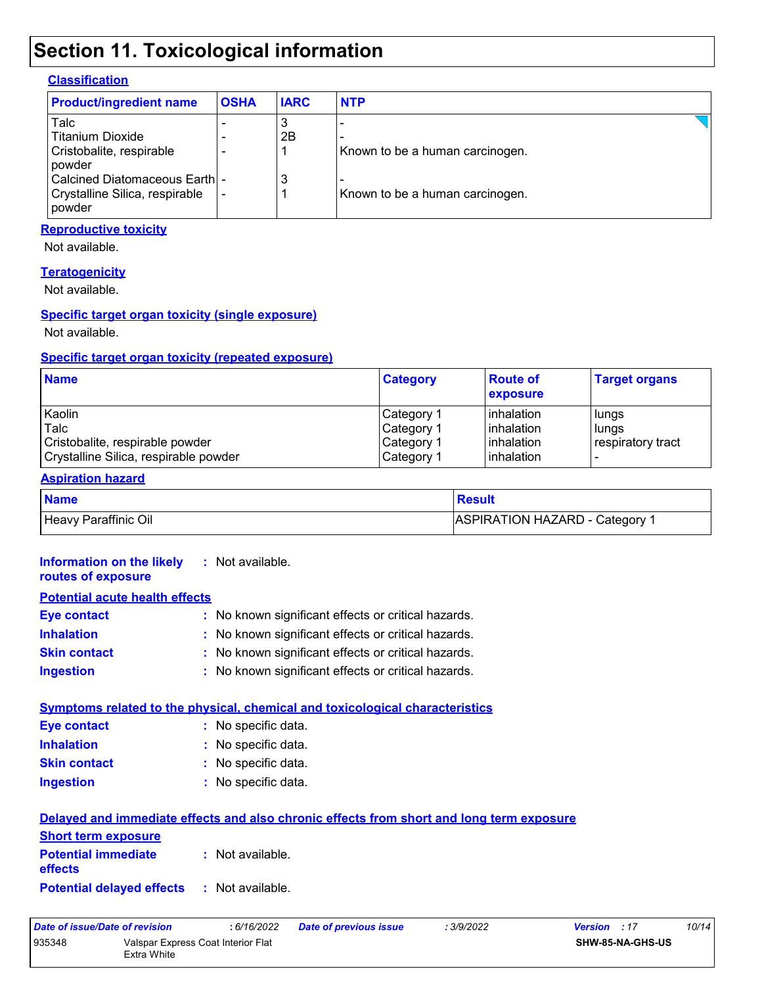# **Section 11. Toxicological information**

### **Classification**

| <b>Product/ingredient name</b>             | <b>OSHA</b> | <b>IARC</b> | <b>NTP</b>                      |  |
|--------------------------------------------|-------------|-------------|---------------------------------|--|
| Talc                                       |             | 3           |                                 |  |
| l Titanium Dioxide                         |             | 2B          |                                 |  |
| Cristobalite, respirable<br>l powder       |             |             | Known to be a human carcinogen. |  |
| l Calcined Diatomaceous Earthl -           |             | 3           |                                 |  |
| Crystalline Silica, respirable<br>l powder |             |             | Known to be a human carcinogen. |  |

### **Reproductive toxicity**

Not available.

#### **Teratogenicity**

Not available.

### **Specific target organ toxicity (single exposure)**

Not available.

### **Specific target organ toxicity (repeated exposure)**

| <b>Name</b>                           | <b>Category</b> | <b>Route of</b><br>exposure | <b>Target organs</b>     |
|---------------------------------------|-----------------|-----------------------------|--------------------------|
| Kaolin                                | Category 1      | <b>l</b> inhalation         | lungs                    |
| Talc                                  | Category 1      | <b>l</b> inhalation         | lungs                    |
| Cristobalite, respirable powder       | Category 1      | <b>l</b> inhalation         | respiratory tract        |
| Crystalline Silica, respirable powder | Category 1      | <b>l</b> inhalation         | $\overline{\phantom{0}}$ |

### **Aspiration hazard**

| <b>Name</b>          | Result                         |
|----------------------|--------------------------------|
| Heavy Paraffinic Oil | ASPIRATION HAZARD - Category 1 |

| Information on the likely<br>routes of exposure          | : Not available.                                                                                               |
|----------------------------------------------------------|----------------------------------------------------------------------------------------------------------------|
| <b>Potential acute health effects</b>                    |                                                                                                                |
| <b>Eye contact</b>                                       | : No known significant effects or critical hazards.                                                            |
| <b>Inhalation</b>                                        | : No known significant effects or critical hazards.                                                            |
| <b>Skin contact</b>                                      | : No known significant effects or critical hazards.                                                            |
| <b>Ingestion</b>                                         | : No known significant effects or critical hazards.                                                            |
|                                                          | <b>Symptoms related to the physical, chemical and toxicological characteristics</b>                            |
| <b>Eye contact</b>                                       | : No specific data.                                                                                            |
| <b>Inhalation</b>                                        | : No specific data.                                                                                            |
| <b>Skin contact</b>                                      | : No specific data.                                                                                            |
| <b>Ingestion</b>                                         | : No specific data.                                                                                            |
| <b>Short term exposure</b><br><b>Potential immediate</b> | Delayed and immediate effects and also chronic effects from short and long term exposure<br>$:$ Not available. |
| <b>effects</b>                                           |                                                                                                                |
| <b>Potential delayed effects</b>                         | : Not available.                                                                                               |

| Date of issue/Date of revision |                                                   | : 6/16/2022 | Date of previous issue | : 3/9/2022 | <b>Version</b> : 17     | 10/14 |
|--------------------------------|---------------------------------------------------|-------------|------------------------|------------|-------------------------|-------|
| 935348                         | Valspar Express Coat Interior Flat<br>Extra White |             |                        |            | <b>SHW-85-NA-GHS-US</b> |       |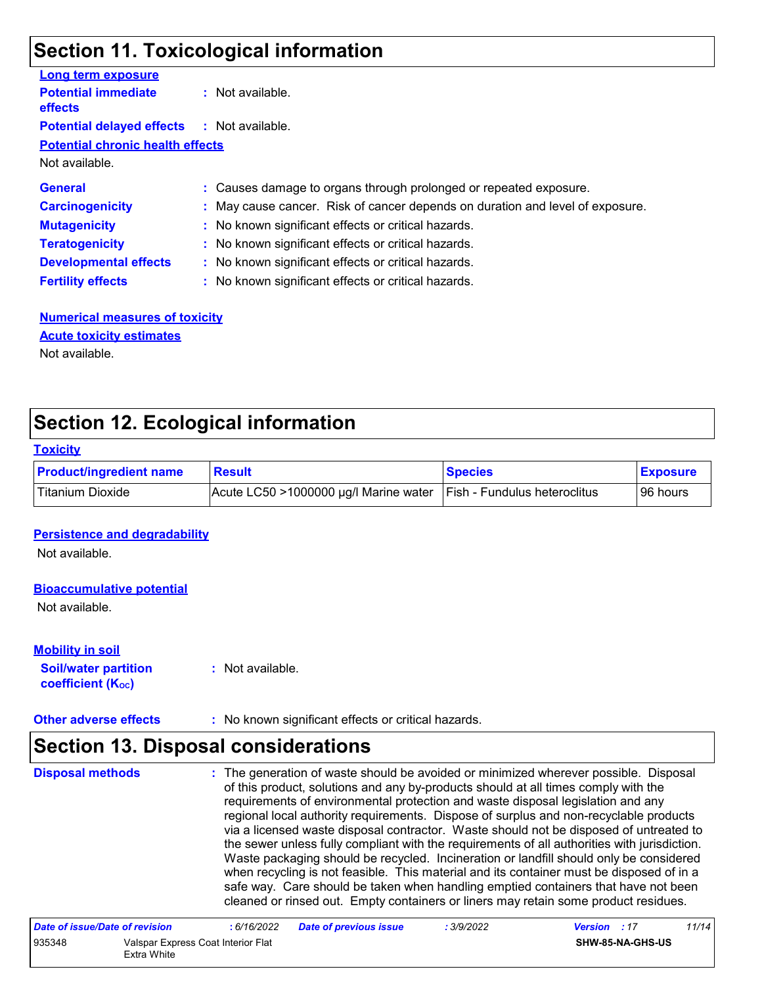### **Section 11. Toxicological information**

| <b>Long term exposure</b>                         |                                                                               |
|---------------------------------------------------|-------------------------------------------------------------------------------|
| <b>Potential immediate</b><br><b>effects</b>      | $:$ Not available.                                                            |
| <b>Potential delayed effects : Not available.</b> |                                                                               |
| <b>Potential chronic health effects</b>           |                                                                               |
| Not available.                                    |                                                                               |
| <b>General</b>                                    | : Causes damage to organs through prolonged or repeated exposure.             |
| <b>Carcinogenicity</b>                            | : May cause cancer. Risk of cancer depends on duration and level of exposure. |
| <b>Mutagenicity</b>                               | : No known significant effects or critical hazards.                           |
| <b>Teratogenicity</b>                             | : No known significant effects or critical hazards.                           |
| <b>Developmental effects</b>                      | : No known significant effects or critical hazards.                           |
| <b>Fertility effects</b>                          | : No known significant effects or critical hazards.                           |

### **Numerical measures of toxicity** Not available. **Acute toxicity estimates**

# **Section 12. Ecological information**

#### **Toxicity**

| <b>Product/ingredient name</b> | <b>Result</b>                                                              | <b>Species</b> | <b>Exposure</b> |
|--------------------------------|----------------------------------------------------------------------------|----------------|-----------------|
| Titanium Dioxide               | $ $ Acute LC50 >1000000 µg/l Marine water $ $ Fish - Fundulus heteroclitus |                | l 96 hours      |

### **Persistence and degradability**

Not available.

### **Bioaccumulative potential**

Not available.

### **Mobility in soil**

**Soil/water partition coefficient (Koc) :** Not available.

**Other adverse effects :** No known significant effects or critical hazards.

# **Section 13. Disposal considerations**

The generation of waste should be avoided or minimized wherever possible. Disposal of this product, solutions and any by-products should at all times comply with the requirements of environmental protection and waste disposal legislation and any regional local authority requirements. Dispose of surplus and non-recyclable products via a licensed waste disposal contractor. Waste should not be disposed of untreated to the sewer unless fully compliant with the requirements of all authorities with jurisdiction. Waste packaging should be recycled. Incineration or landfill should only be considered when recycling is not feasible. This material and its container must be disposed of in a safe way. Care should be taken when handling emptied containers that have not been cleaned or rinsed out. Empty containers or liners may retain some product residues. **Disposal methods :**

| Date of issue/Date of revision |                                                   | : 6/16/2022 | <b>Date of previous issue</b> | : 3/9/2022 | <b>Version</b> : 17 |                         | 11/14 |  |
|--------------------------------|---------------------------------------------------|-------------|-------------------------------|------------|---------------------|-------------------------|-------|--|
| 935348                         | Valspar Express Coat Interior Flat<br>Extra White |             |                               |            |                     | <b>SHW-85-NA-GHS-US</b> |       |  |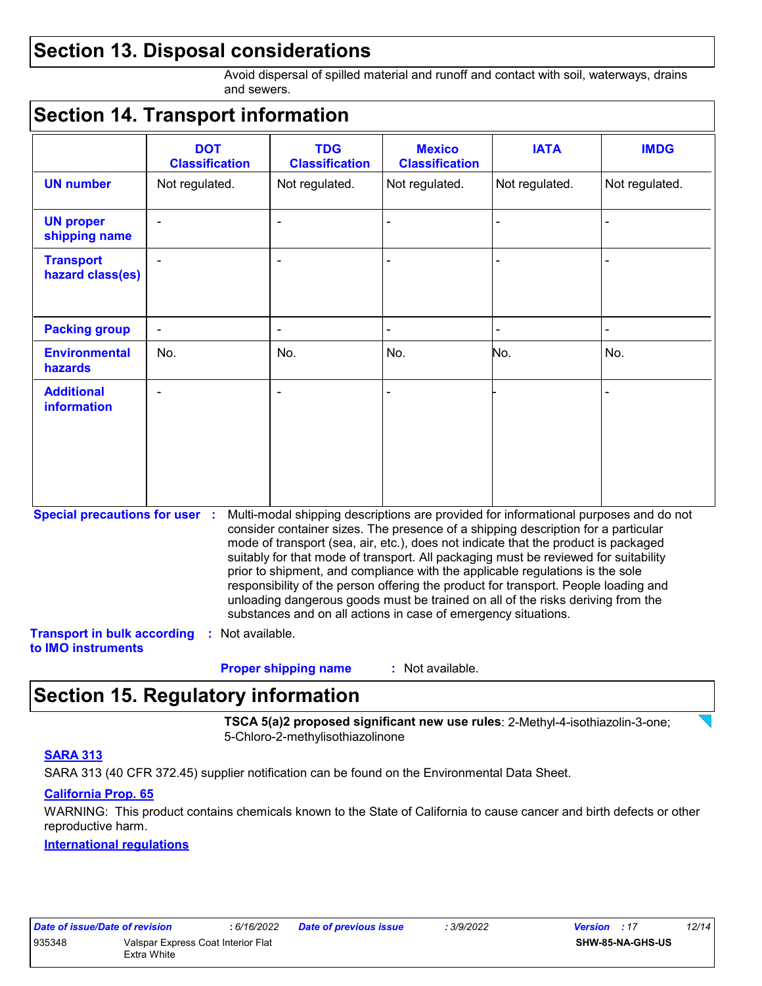# **Section 13. Disposal considerations**

Avoid dispersal of spilled material and runoff and contact with soil, waterways, drains and sewers.

### **Section 14. Transport information**

|                                                                             | <b>DOT</b><br><b>Classification</b> | <b>TDG</b><br><b>Classification</b>                            | <b>Mexico</b><br><b>Classification</b> | <b>IATA</b>                                                                                                                                                                                                                                                                                                                                                                                                                                                                                                                                                                                                       | <b>IMDG</b>    |
|-----------------------------------------------------------------------------|-------------------------------------|----------------------------------------------------------------|----------------------------------------|-------------------------------------------------------------------------------------------------------------------------------------------------------------------------------------------------------------------------------------------------------------------------------------------------------------------------------------------------------------------------------------------------------------------------------------------------------------------------------------------------------------------------------------------------------------------------------------------------------------------|----------------|
| <b>UN number</b>                                                            | Not regulated.                      | Not regulated.                                                 | Not regulated.                         | Not regulated.                                                                                                                                                                                                                                                                                                                                                                                                                                                                                                                                                                                                    | Not regulated. |
| <b>UN proper</b><br>shipping name                                           |                                     |                                                                |                                        |                                                                                                                                                                                                                                                                                                                                                                                                                                                                                                                                                                                                                   |                |
| <b>Transport</b><br>hazard class(es)                                        |                                     |                                                                |                                        |                                                                                                                                                                                                                                                                                                                                                                                                                                                                                                                                                                                                                   |                |
| <b>Packing group</b>                                                        | ÷,                                  | $\blacksquare$                                                 |                                        |                                                                                                                                                                                                                                                                                                                                                                                                                                                                                                                                                                                                                   |                |
| <b>Environmental</b><br><b>hazards</b>                                      | No.                                 | No.                                                            | No.                                    | No.                                                                                                                                                                                                                                                                                                                                                                                                                                                                                                                                                                                                               | No.            |
| <b>Additional</b><br><b>information</b>                                     |                                     |                                                                |                                        |                                                                                                                                                                                                                                                                                                                                                                                                                                                                                                                                                                                                                   |                |
| <b>Special precautions for user :</b><br><b>Transport in bulk according</b> | Not available.                      | substances and on all actions in case of emergency situations. |                                        | Multi-modal shipping descriptions are provided for informational purposes and do not<br>consider container sizes. The presence of a shipping description for a particular<br>mode of transport (sea, air, etc.), does not indicate that the product is packaged<br>suitably for that mode of transport. All packaging must be reviewed for suitability<br>prior to shipment, and compliance with the applicable regulations is the sole<br>responsibility of the person offering the product for transport. People loading and<br>unloading dangerous goods must be trained on all of the risks deriving from the |                |
| to IMO instruments                                                          |                                     | <b>Proper shipping name</b>                                    | : Not available.                       |                                                                                                                                                                                                                                                                                                                                                                                                                                                                                                                                                                                                                   |                |

# **Section 15. Regulatory information**

**TSCA 5(a)2 proposed significant new use rules**: 2-Methyl-4-isothiazolin-3-one; 5-Chloro-2-methylisothiazolinone

### **SARA 313**

SARA 313 (40 CFR 372.45) supplier notification can be found on the Environmental Data Sheet.

### **California Prop. 65**

WARNING: This product contains chemicals known to the State of California to cause cancer and birth defects or other reproductive harm.

### **International regulations**

| Date of issue/Date of revision |                                                   | : 6/16/2022 | <b>Date of previous issue</b> | : 3/9/2022 | <b>Version</b> : 17     | 12/14 |
|--------------------------------|---------------------------------------------------|-------------|-------------------------------|------------|-------------------------|-------|
| 935348                         | Valspar Express Coat Interior Flat<br>Extra White |             |                               |            | <b>SHW-85-NA-GHS-US</b> |       |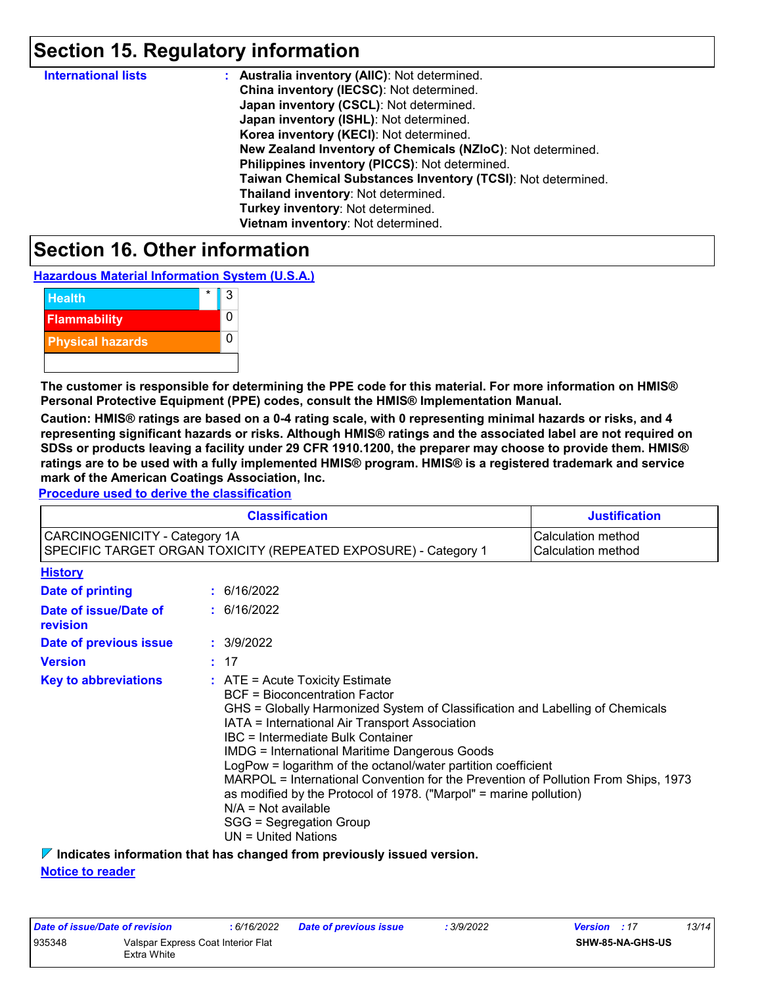# **Section 15. Regulatory information**

| <b>International lists</b> | : Australia inventory (AIIC): Not determined.                |
|----------------------------|--------------------------------------------------------------|
|                            | China inventory (IECSC): Not determined.                     |
|                            | Japan inventory (CSCL): Not determined.                      |
|                            | Japan inventory (ISHL): Not determined.                      |
|                            | Korea inventory (KECI): Not determined.                      |
|                            | New Zealand Inventory of Chemicals (NZIoC): Not determined.  |
|                            | Philippines inventory (PICCS): Not determined.               |
|                            | Taiwan Chemical Substances Inventory (TCSI): Not determined. |
|                            | Thailand inventory: Not determined.                          |
|                            | Turkey inventory: Not determined.                            |
|                            | Vietnam inventory: Not determined.                           |

### **Section 16. Other information**

**Hazardous Material Information System (U.S.A.)**



**The customer is responsible for determining the PPE code for this material. For more information on HMIS® Personal Protective Equipment (PPE) codes, consult the HMIS® Implementation Manual.**

**Caution: HMIS® ratings are based on a 0-4 rating scale, with 0 representing minimal hazards or risks, and 4 representing significant hazards or risks. Although HMIS® ratings and the associated label are not required on SDSs or products leaving a facility under 29 CFR 1910.1200, the preparer may choose to provide them. HMIS® ratings are to be used with a fully implemented HMIS® program. HMIS® is a registered trademark and service mark of the American Coatings Association, Inc.**

**Procedure used to derive the classification**

|                                          |                                                                                                                                                                                                                                                                                                                                                                                                                                                                                                                                                                                                                                                                                                                  | <b>Classification</b>                                           | <b>Justification</b>                     |
|------------------------------------------|------------------------------------------------------------------------------------------------------------------------------------------------------------------------------------------------------------------------------------------------------------------------------------------------------------------------------------------------------------------------------------------------------------------------------------------------------------------------------------------------------------------------------------------------------------------------------------------------------------------------------------------------------------------------------------------------------------------|-----------------------------------------------------------------|------------------------------------------|
| <b>CARCINOGENICITY - Category 1A</b>     |                                                                                                                                                                                                                                                                                                                                                                                                                                                                                                                                                                                                                                                                                                                  | SPECIFIC TARGET ORGAN TOXICITY (REPEATED EXPOSURE) - Category 1 | Calculation method<br>Calculation method |
| <b>History</b>                           |                                                                                                                                                                                                                                                                                                                                                                                                                                                                                                                                                                                                                                                                                                                  |                                                                 |                                          |
| Date of printing                         |                                                                                                                                                                                                                                                                                                                                                                                                                                                                                                                                                                                                                                                                                                                  | : 6/16/2022                                                     |                                          |
| Date of issue/Date of<br><b>revision</b> |                                                                                                                                                                                                                                                                                                                                                                                                                                                                                                                                                                                                                                                                                                                  | : 6/16/2022                                                     |                                          |
| Date of previous issue                   |                                                                                                                                                                                                                                                                                                                                                                                                                                                                                                                                                                                                                                                                                                                  | : 3/9/2022                                                      |                                          |
| <b>Version</b>                           |                                                                                                                                                                                                                                                                                                                                                                                                                                                                                                                                                                                                                                                                                                                  | : 17                                                            |                                          |
| <b>Key to abbreviations</b>              | $\therefore$ ATE = Acute Toxicity Estimate<br><b>BCF</b> = Bioconcentration Factor<br>GHS = Globally Harmonized System of Classification and Labelling of Chemicals<br>IATA = International Air Transport Association<br>IBC = Intermediate Bulk Container<br><b>IMDG</b> = International Maritime Dangerous Goods<br>LogPow = logarithm of the octanol/water partition coefficient<br>MARPOL = International Convention for the Prevention of Pollution From Ships, 1973<br>as modified by the Protocol of 1978. ("Marpol" = marine pollution)<br>$N/A = Not available$<br>SGG = Segregation Group<br>$UN = United Nations$<br>$\sim$ ladiantes information that has above all from provisually incurse version |                                                                 |                                          |

**Indicates information that has changed from previously issued version.**

**Notice to reader**

| Date of issue/Date of revision |                                    | : 6/16/2022 | Date of previous issue | : 3/9/2022 | <b>Version</b> : 17 |                         | 13/14 |
|--------------------------------|------------------------------------|-------------|------------------------|------------|---------------------|-------------------------|-------|
| 935348                         | Valspar Express Coat Interior Flat |             |                        |            |                     | <b>SHW-85-NA-GHS-US</b> |       |
|                                | Extra White                        |             |                        |            |                     |                         |       |